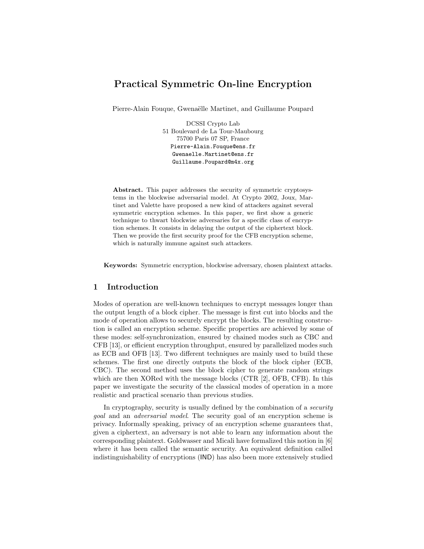# Practical Symmetric On-line Encryption

Pierre-Alain Fouque, Gwenaëlle Martinet, and Guillaume Poupard

DCSSI Crypto Lab 51 Boulevard de La Tour-Maubourg 75700 Paris 07 SP, France Pierre-Alain.Fouque@ens.fr Gwenaelle.Martinet@ens.fr Guillaume.Poupard@m4x.org

Abstract. This paper addresses the security of symmetric cryptosystems in the blockwise adversarial model. At Crypto 2002, Joux, Martinet and Valette have proposed a new kind of attackers against several symmetric encryption schemes. In this paper, we first show a generic technique to thwart blockwise adversaries for a specific class of encryption schemes. It consists in delaying the output of the ciphertext block. Then we provide the first security proof for the CFB encryption scheme, which is naturally immune against such attackers.

Keywords: Symmetric encryption, blockwise adversary, chosen plaintext attacks.

# 1 Introduction

Modes of operation are well-known techniques to encrypt messages longer than the output length of a block cipher. The message is first cut into blocks and the mode of operation allows to securely encrypt the blocks. The resulting construction is called an encryption scheme. Specific properties are achieved by some of these modes: self-synchronization, ensured by chained modes such as CBC and CFB [13], or efficient encryption throughput, ensured by parallelized modes such as ECB and OFB [13]. Two different techniques are mainly used to build these schemes. The first one directly outputs the block of the block cipher (ECB, CBC). The second method uses the block cipher to generate random strings which are then XORed with the message blocks (CTR [2], OFB, CFB). In this paper we investigate the security of the classical modes of operation in a more realistic and practical scenario than previous studies.

In cryptography, security is usually defined by the combination of a *security* goal and an adversarial model. The security goal of an encryption scheme is privacy. Informally speaking, privacy of an encryption scheme guarantees that, given a ciphertext, an adversary is not able to learn any information about the corresponding plaintext. Goldwasser and Micali have formalized this notion in [6] where it has been called the semantic security. An equivalent definition called indistinguishability of encryptions (IND) has also been more extensively studied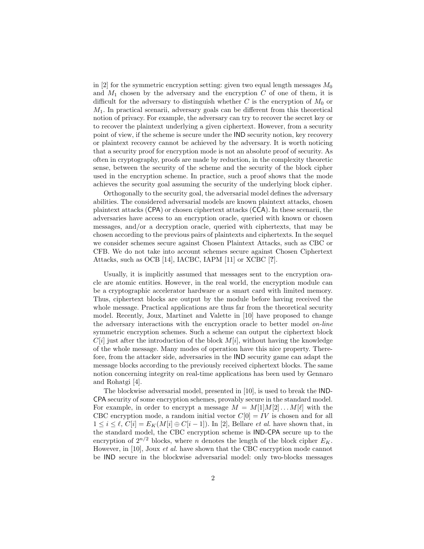in |2| for the symmetric encryption setting: given two equal length messages  $M_0$ and  $M_1$  chosen by the adversary and the encryption  $C$  of one of them, it is difficult for the adversary to distinguish whether  $C$  is the encryption of  $M_0$  or  $M_1$ . In practical scenarii, adversary goals can be different from this theoretical notion of privacy. For example, the adversary can try to recover the secret key or to recover the plaintext underlying a given ciphertext. However, from a security point of view, if the scheme is secure under the IND security notion, key recovery or plaintext recovery cannot be achieved by the adversary. It is worth noticing that a security proof for encryption mode is not an absolute proof of security. As often in cryptography, proofs are made by reduction, in the complexity theoretic sense, between the security of the scheme and the security of the block cipher used in the encryption scheme. In practice, such a proof shows that the mode achieves the security goal assuming the security of the underlying block cipher.

Orthogonally to the security goal, the adversarial model defines the adversary abilities. The considered adversarial models are known plaintext attacks, chosen plaintext attacks (CPA) or chosen ciphertext attacks (CCA). In these scenarii, the adversaries have access to an encryption oracle, queried with known or chosen messages, and/or a decryption oracle, queried with ciphertexts, that may be chosen according to the previous pairs of plaintexts and ciphertexts. In the sequel we consider schemes secure against Chosen Plaintext Attacks, such as CBC or CFB. We do not take into account schemes secure against Chosen Ciphertext Attacks, such as OCB [14], IACBC, IAPM [11] or XCBC [?].

Usually, it is implicitly assumed that messages sent to the encryption oracle are atomic entities. However, in the real world, the encryption module can be a cryptographic accelerator hardware or a smart card with limited memory. Thus, ciphertext blocks are output by the module before having received the whole message. Practical applications are thus far from the theoretical security model. Recently, Joux, Martinet and Valette in [10] have proposed to change the adversary interactions with the encryption oracle to better model on-line symmetric encryption schemes. Such a scheme can output the ciphertext block  $C[i]$  just after the introduction of the block  $M[i]$ , without having the knowledge of the whole message. Many modes of operation have this nice property. Therefore, from the attacker side, adversaries in the IND security game can adapt the message blocks according to the previously received ciphertext blocks. The same notion concerning integrity on real-time applications has been used by Gennaro and Rohatgi [4].

The blockwise adversarial model, presented in [10], is used to break the IND-CPA security of some encryption schemes, provably secure in the standard model. For example, in order to encrypt a message  $M = M[1]M[2] \dots M[\ell]$  with the CBC encryption mode, a random initial vector  $C[0] = IV$  is chosen and for all  $1 \leq i \leq \ell$ ,  $C[i] = E_K(M[i] \oplus C[i-1])$ . In [2], Bellare *et al.* have shown that, in the standard model, the CBC encryption scheme is IND-CPA secure up to the encryption of  $2^{n/2}$  blocks, where *n* denotes the length of the block cipher  $E_K$ . However, in [10], Joux *et al.* have shown that the CBC encryption mode cannot be IND secure in the blockwise adversarial model: only two-blocks messages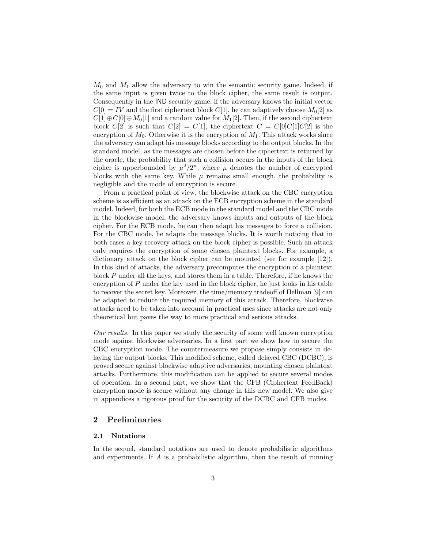$M_0$  and  $M_1$  allow the adversary to win the semantic security game. Indeed, if the same input is given twice to the block cipher, the same result is output. Consequently in the IND security game, if the adversary knows the initial vector  $C[0] = IV$  and the first ciphertext block  $C[1]$ , he can adaptively choose  $M_0[2]$  as  $C[1]\oplus C[0]\oplus M_0[1]$  and a random value for  $M_1[2]$ . Then, if the second ciphertext block  $C[2]$  is such that  $C[2] = C[1]$ , the ciphertext  $C = C[0]C[1]C[2]$  is the encryption of  $M_0$ . Otherwise it is the encryption of  $M_1$ . This attack works since the adversary can adapt his message blocks according to the output blocks. In the standard model, as the messages are chosen before the ciphertext is returned by the oracle, the probability that such a collision occurs in the inputs of the block cipher is upperbounded by  $\mu^2/2^n$ , where  $\mu$  denotes the number of encrypted blocks with the same key. While  $\mu$  remains small enough, the probability is negligible and the mode of encryption is secure.

From a practical point of view, the blockwise attack on the CBC encryption scheme is as efficient as an attack on the ECB encryption scheme in the standard model. Indeed, for both the ECB mode in the standard model and the CBC mode in the blockwise model, the adversary knows inputs and outputs of the block cipher. For the ECB mode, he can then adapt his messages to force a collision. For the CBC mode, he adapts the message blocks. It is worth noticing that in both cases a key recovery attack on the block cipher is possible. Such an attack only requires the encryption of some chosen plaintext blocks. For example, a dictionary attack on the block cipher can be mounted (see for example [12]). In this kind of attacks, the adversary precomputes the encryption of a plaintext block P under all the keys, and stores them in a table. Therefore, if he knows the encryption of  $P$  under the key used in the block cipher, he just looks in his table to recover the secret key. Moreover, the time/memory tradeoff of Hellman [9] can be adapted to reduce the required memory of this attack. Therefore, blockwise attacks need to be taken into account in practical uses since attacks are not only theoretical but paves the way to more practical and serious attacks.

Our results. In this paper we study the security of some well known encryption mode against blockwise adversaries. In a first part we show how to secure the CBC encryption mode. The countermeasure we propose simply consists in delaying the output blocks. This modified scheme, called delayed CBC (DCBC), is proved secure against blockwise adaptive adversaries, mounting chosen plaintext attacks. Furthermore, this modification can be applied to secure several modes of operation. In a second part, we show that the CFB (Ciphertext FeedBack) encryption mode is secure without any change in this new model. We also give in appendices a rigorous proof for the security of the DCBC and CFB modes.

# 2 Preliminaries

#### 2.1 Notations

In the sequel, standard notations are used to denote probabilistic algorithms and experiments. If  $\vec{A}$  is a probabilistic algorithm, then the result of running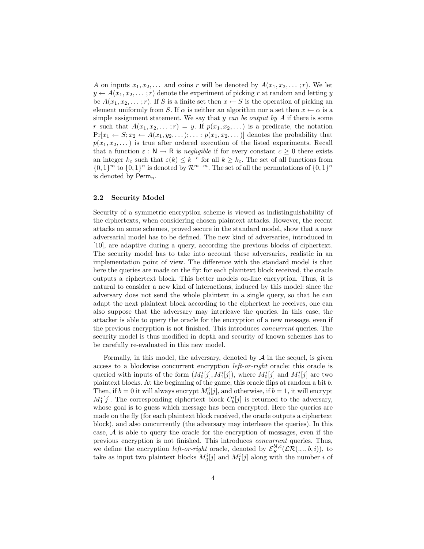A on inputs  $x_1, x_2, \ldots$  and coins r will be denoted by  $A(x_1, x_2, \ldots; r)$ . We let  $y \leftarrow A(x_1, x_2, \dots; r)$  denote the experiment of picking r at random and letting y be  $A(x_1, x_2, \ldots; r)$ . If S is a finite set then  $x \leftarrow S$  is the operation of picking an element uniformly from S. If  $\alpha$  is neither an algorithm nor a set then  $x \leftarrow \alpha$  is a simple assignment statement. We say that  $y$  can be output by  $A$  if there is some r such that  $A(x_1, x_2, \ldots; r) = y$ . If  $p(x_1, x_2, \ldots)$  is a predicate, the notation  $Pr[x_1 \leftarrow S; x_2 \leftarrow A(x_1, y_2, \dots); \dots; p(x_1, x_2, \dots)]$  denotes the probability that  $p(x_1, x_2, \dots)$  is true after ordered execution of the listed experiments. Recall that a function  $\varepsilon : \mathbb{N} \to \mathbb{R}$  is negligible if for every constant  $c \geq 0$  there exists an integer  $k_c$  such that  $\varepsilon(k) \leq k^{-c}$  for all  $k \geq k_c$ . The set of all functions from  $\{0,1\}^m$  to  $\{0,1\}^n$  is denoted by  $\mathcal{R}^{m\to n}$ . The set of all the permutations of  $\{0,1\}^n$ is denoted by  $\mathsf{Perm}_n$ .

### 2.2 Security Model

Security of a symmetric encryption scheme is viewed as indistinguishability of the ciphertexts, when considering chosen plaintext attacks. However, the recent attacks on some schemes, proved secure in the standard model, show that a new adversarial model has to be defined. The new kind of adversaries, introduced in [10], are adaptive during a query, according the previous blocks of ciphertext. The security model has to take into account these adversaries, realistic in an implementation point of view. The difference with the standard model is that here the queries are made on the fly: for each plaintext block received, the oracle outputs a ciphertext block. This better models on-line encryption. Thus, it is natural to consider a new kind of interactions, induced by this model: since the adversary does not send the whole plaintext in a single query, so that he can adapt the next plaintext block according to the ciphertext he receives, one can also suppose that the adversary may interleave the queries. In this case, the attacker is able to query the oracle for the encryption of a new message, even if the previous encryption is not finished. This introduces concurrent queries. The security model is thus modified in depth and security of known schemes has to be carefully re-evaluated in this new model.

Formally, in this model, the adversary, denoted by  $A$  in the sequel, is given access to a blockwise concurrent encryption left-or-right oracle: this oracle is queried with inputs of the form  $(M_0^i[j], M_1^i[j])$ , where  $M_0^i[j]$  and  $M_1^i[j]$  are two plaintext blocks. At the beginning of the game, this oracle flips at random a bit b. Then, if  $b = 0$  it will always encrypt  $M_0^i[j]$ , and otherwise, if  $b = 1$ , it will encrypt  $M_1^i[j]$ . The corresponding ciphertext block  $C_b^i[j]$  is returned to the adversary, whose goal is to guess which message has been encrypted. Here the queries are made on the fly (for each plaintext block received, the oracle outputs a ciphertext block), and also concurrently (the adversary may interleave the queries). In this case, A is able to query the oracle for the encryption of messages, even if the previous encryption is not finished. This introduces concurrent queries. Thus, we define the encryption *left-or-right* oracle, denoted by  $\mathcal{E}_K^{bl,c}(\mathcal{LR}(.,.,b,i))$ , to take as input two plaintext blocks  $M_0^i[j]$  and  $M_1^i[j]$  along with the number i of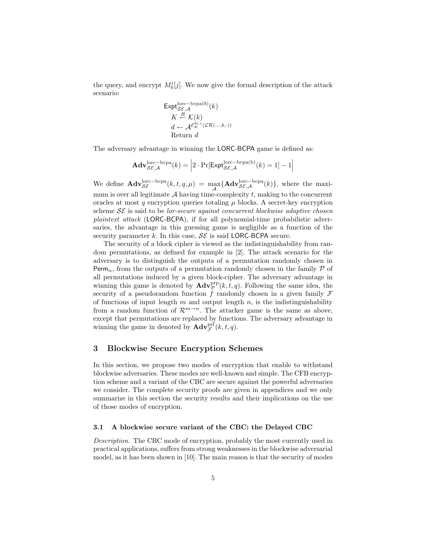the query, and encrypt  $M_b^i[j]$ . We now give the formal description of the attack scenario:

$$
\begin{aligned} \mathsf{Expt}_{\mathcal{SE},\mathcal{A}}^{\text{loc}-\text{bcpa}(b)}(k) \\ K &\stackrel{R}{\leftarrow} \mathcal{K}(k) \\ d &\leftarrow \mathcal{A}^{\mathcal{E}_{K}^{b l,c}}(\mathcal{LR}(\cdot,\cdot,b,\cdot)) \\ \text{Return } d \end{aligned}
$$

The adversary advantage in winning the LORC-BCPA game is defined as:

$$
\mathbf{Adv}_{\mathcal{SE},\mathcal{A}}^{\text{lorc}-\text{bcpa}}(k) = \left| 2 \cdot \Pr[\mathsf{Expt}_{\mathcal{SE},\mathcal{A}}^{\text{lorc}-\text{bcpa(b)}}(k) = 1] - 1 \right|
$$

We define  $\mathbf{Adv}_{\mathcal{SE}}^{\text{lorc}-\text{bcpa}}(k, t, q, \mu) = \max_{\mathcal{A}} \{ \mathbf{Adv}_{\mathcal{SE},\mathcal{A}}^{\text{lorc}-\text{bcpa}}(k) \},$  where the maximum is over all legitimate  $A$  having time-complexity  $t$ , making to the concurrent oracles at most  $q$  encryption queries totaling  $\mu$  blocks. A secret-key encryption scheme  $S\mathcal{E}$  is said to be *lor-secure against concurrent blockwise adaptive chosen* plaintext attack (LORC-BCPA), if for all polynomial-time probabilistic adversaries, the advantage in this guessing game is negligible as a function of the security parameter k. In this case,  $\mathcal{SE}$  is said LORC-BCPA secure.

The security of a block cipher is viewed as the indistinguishability from random permutations, as defined for example in [2]. The attack scenario for the adversary is to distinguish the outputs of a permutation randomly chosen in Perm<sub>n</sub>, from the outputs of a permutation randomly chosen in the family  $P$  of all permutations induced by a given block-cipher. The adversary advantage in winning this game is denoted by  $\mathbf{Adv}_{\mathcal{P}}^{\text{prp}}(k, t, q)$ . Following the same idea, the security of a pseudorandom function f randomly chosen in a given family  $\mathcal F$ of functions of input length  $m$  and output length  $n$ , is the indistinguishability from a random function of  $\mathcal{R}^{m \to n}$ . The attacker game is the same as above, except that permutations are replaced by functions. The adversary advantage in winning the game in denoted by  $\mathbf{Adv}_{\mathcal{F}}^{\text{prf}}(k, t, q)$ .

# 3 Blockwise Secure Encryption Schemes

In this section, we propose two modes of encryption that enable to withstand blockwise adversaries. These modes are well-known and simple. The CFB encryption scheme and a variant of the CBC are secure against the powerful adversaries we consider. The complete security proofs are given in appendices and we only summarize in this section the security results and their implications on the use of those modes of encryption.

#### 3.1 A blockwise secure variant of the CBC: the Delayed CBC

Description. The CBC mode of encryption, probably the most currently used in practical applications, suffers from strong weaknesses in the blockwise adversarial model, as it has been shown in [10]. The main reason is that the security of modes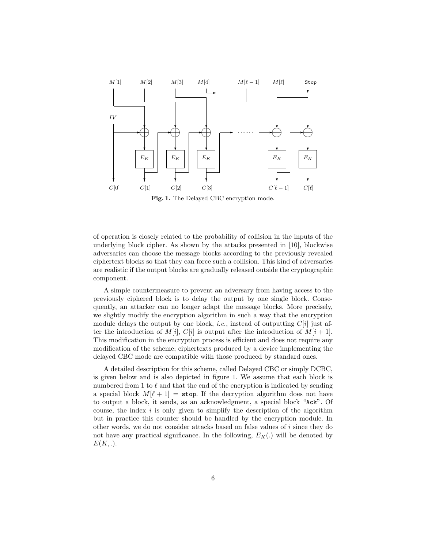

Fig. 1. The Delayed CBC encryption mode.

of operation is closely related to the probability of collision in the inputs of the underlying block cipher. As shown by the attacks presented in [10], blockwise adversaries can choose the message blocks according to the previously revealed ciphertext blocks so that they can force such a collision. This kind of adversaries are realistic if the output blocks are gradually released outside the cryptographic component.

A simple countermeasure to prevent an adversary from having access to the previously ciphered block is to delay the output by one single block. Consequently, an attacker can no longer adapt the message blocks. More precisely, we slightly modify the encryption algorithm in such a way that the encryption module delays the output by one block, *i.e.*, instead of outputting  $C[i]$  just after the introduction of  $M[i], C[i]$  is output after the introduction of  $M[i + 1]$ . This modification in the encryption process is efficient and does not require any modification of the scheme; ciphertexts produced by a device implementing the delayed CBC mode are compatible with those produced by standard ones.

A detailed description for this scheme, called Delayed CBC or simply DCBC, is given below and is also depicted in figure 1. We assume that each block is numbered from 1 to  $\ell$  and that the end of the encryption is indicated by sending a special block  $M[\ell + 1] =$  stop. If the decryption algorithm does not have to output a block, it sends, as an acknowledgment, a special block "Ack". Of course, the index  $i$  is only given to simplify the description of the algorithm but in practice this counter should be handled by the encryption module. In other words, we do not consider attacks based on false values of  $i$  since they do not have any practical significance. In the following,  $E_K(.)$  will be denoted by  $E(K, .).$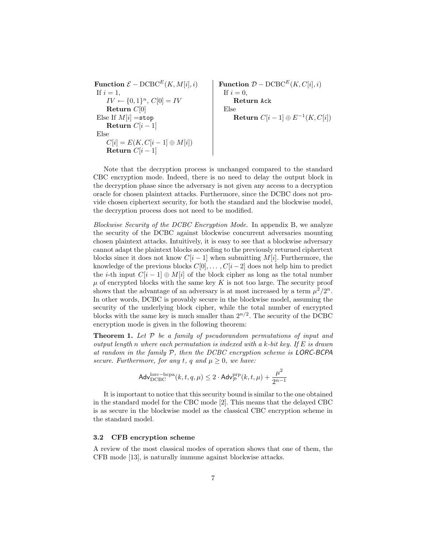| Function $\mathcal{E} - DCBC^{E}(K, M[i], i)$              | Function $\mathcal{D} - DCBC^{E}(K, C[i], i)$ |                        |                   |
|------------------------------------------------------------|-----------------------------------------------|------------------------|-------------------|
| If $i = 1$ ,<br>$IV \leftarrow \{0, 1\}^{n}$ , $C[0] = IV$ | Return $ack$<br>$Return C[0]$                 | Return $ack$<br>$Else$ | Return $C[i - 1]$ |
| Else<br>$C[i] = E(K, C[i - 1] \oplus M[i])$                | Return $C[i - 1]$                             | Return $C[i - 1]$      |                   |

Note that the decryption process is unchanged compared to the standard CBC encryption mode. Indeed, there is no need to delay the output block in the decryption phase since the adversary is not given any access to a decryption oracle for chosen plaintext attacks. Furthermore, since the DCBC does not provide chosen ciphertext security, for both the standard and the blockwise model, the decryption process does not need to be modified.

Blockwise Security of the DCBC Encryption Mode. In appendix B, we analyze the security of the DCBC against blockwise concurrent adversaries mounting chosen plaintext attacks. Intuitively, it is easy to see that a blockwise adversary cannot adapt the plaintext blocks according to the previously returned ciphertext blocks since it does not know  $C[i - 1]$  when submitting  $M[i]$ . Furthermore, the knowledge of the previous blocks  $C[0], \ldots, C[i-2]$  does not help him to predict the *i*-th input  $C[i - 1] \oplus M[i]$  of the block cipher as long as the total number  $\mu$  of encrypted blocks with the same key K is not too large. The security proof shows that the advantage of an adversary is at most increased by a term  $\mu^2/2^n$ . In other words, DCBC is provably secure in the blockwise model, assuming the security of the underlying block cipher, while the total number of encrypted blocks with the same key is much smaller than  $2^{n/2}$ . The security of the DCBC encryption mode is given in the following theorem:

**Theorem 1.** Let  $P$  be a family of pseudorandom permutations of input and output length n where each permutation is indexed with a k-bit key. If  $E$  is drawn at random in the family  $P$ , then the DCBC encryption scheme is LORC-BCPA secure. Furthermore, for any t, q and  $\mu > 0$ , we have:

$$
\mathsf{Adv}_{\mathrm{DCBC}}^{\mathrm{lorc}-\mathrm{bcpa}}(k, t, q, \mu) \leq 2 \cdot \mathsf{Adv}_{\mathcal{P}}^{\mathrm{prp}}(k, t, \mu) + \frac{\mu^2}{2^{n-1}}
$$

It is important to notice that this security bound is similar to the one obtained in the standard model for the CBC mode [2]. This means that the delayed CBC is as secure in the blockwise model as the classical CBC encryption scheme in the standard model.

#### 3.2 CFB encryption scheme

A review of the most classical modes of operation shows that one of them, the CFB mode [13], is naturally immune against blockwise attacks.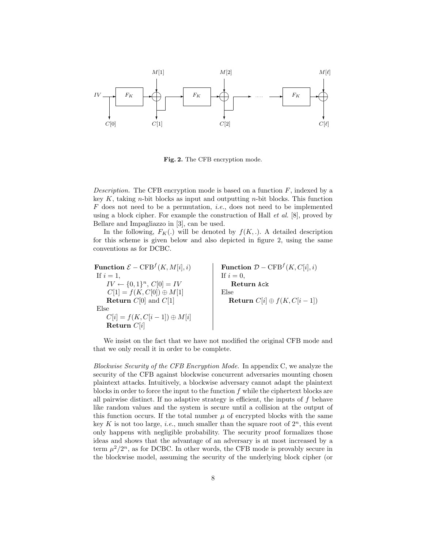

Fig. 2. The CFB encryption mode.

Description. The CFB encryption mode is based on a function  $F$ , indexed by a key K, taking n-bit blocks as input and outputting n-bit blocks. This function  $F$  does not need to be a permutation, *i.e.*, does not need to be implemented using a block cipher. For example the construction of Hall *et al.* [8], proved by Bellare and Impagliazzo in [3], can be used.

In the following,  $F_K(.)$  will be denoted by  $f(K,.)$ . A detailed description for this scheme is given below and also depicted in figure 2, using the same conventions as for DCBC.

Function  $\mathcal{E} - \text{CFB}^f(K, M[i], i)$  $(K, M[i], i)$  Function  $\mathcal{D} - \text{CFB}^f(K, C[i], i)$ If  $i = 1$ , If  $i = 0$ ,  $IV \leftarrow \{0,1\}^n, C[0] = IV$ Return Ack  $C[1] = f(K, C[0]) \oplus M[1]$  Else **Return**  $C[0]$  and  $C[1]$  **Return**  $C[i] \oplus f(K, C[i-1])$ Else  $C[i] = f(K, C[i-1]) \oplus M[i]$ Return C[i]

We insist on the fact that we have not modified the original CFB mode and that we only recall it in order to be complete.

Blockwise Security of the CFB Encryption Mode. In appendix C, we analyze the security of the CFB against blockwise concurrent adversaries mounting chosen plaintext attacks. Intuitively, a blockwise adversary cannot adapt the plaintext blocks in order to force the input to the function  $f$  while the ciphertext blocks are all pairwise distinct. If no adaptive strategy is efficient, the inputs of  $f$  behave like random values and the system is secure until a collision at the output of this function occurs. If the total number  $\mu$  of encrypted blocks with the same key K is not too large, *i.e.*, much smaller than the square root of  $2^n$ , this event only happens with negligible probability. The security proof formalizes those ideas and shows that the advantage of an adversary is at most increased by a term  $\mu^2/2^n$ , as for DCBC. In other words, the CFB mode is provably secure in the blockwise model, assuming the security of the underlying block cipher (or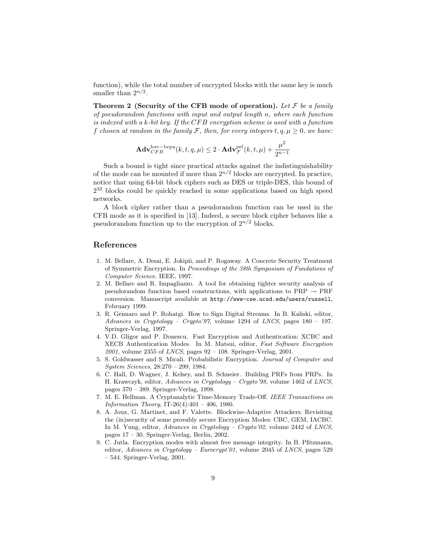function), while the total number of encrypted blocks with the same key is much smaller than  $2^{n/2}$ .

Theorem 2 (Security of the CFB mode of operation). Let  $\mathcal F$  be a family of pseudorandom functions with input and output length n, where each function is indexed with a k-bit key. If the  $CFB$  encryption scheme is used with a function f chosen at random in the family F, then, for every integers  $t, q, \mu \geq 0$ , we have:

$$
\mathbf{Adv}_{CFB}^{\text{lorc}-\text{bcpa}}(k, t, q, \mu) \leq 2 \cdot \mathbf{Adv}_{\mathcal{F}}^{\text{prf}}(k, t, \mu) + \frac{\mu^2}{2^{n-1}}
$$

Such a bound is tight since practical attacks against the indistinguishability of the mode can be mounted if more than  $2^{n/2}$  blocks are encrypted. In practice, notice that using 64-bit block ciphers such as DES or triple-DES, this bound of 2 <sup>32</sup> blocks could be quickly reached in some applications based on high speed networks.

A block cipher rather than a pseudorandom function can be used in the CFB mode as it is specified in [13]. Indeed, a secure block cipher behaves like a pseudorandom function up to the encryption of  $2^{n/2}$  blocks.

# References

- 1. M. Bellare, A. Desai, E. Jokipii, and P. Rogaway. A Concrete Security Treatment of Symmetric Encryption. In Proceedings of the 38th Symposium of Fundations of Computer Science. IEEE, 1997.
- 2. M. Bellare and R. Impagliazzo. A tool for obtaining tighter security analysis of pseudorandom function based constructions, with applications to  $PRP \rightarrow PRF$ conversion. Manuscript available at http://www-cse.ucsd.edu/users/russell, February 1999.
- 3. R. Gennaro and P. Rohatgi. How to Sign Digital Streams. In B. Kaliski, editor, Advances in Cryptology – Crypto'97, volume 1294 of LNCS, pages  $180 - 197$ . Springer-Verlag, 1997.
- 4. V.D. Gligor and P. Donescu. Fast Encryption and Authentication: XCBC and XECB Authentication Modes. In M. Matsui, editor, Fast Software Encryption  $2001$ , volume 2355 of *LNCS*, pages  $92 - 108$ . Springer-Verlag, 2001.
- 5. S. Goldwasser and S. Micali. Probabilistic Encryption. Journal of Computer and System Sciences, 28:270 – 299, 1984.
- 6. C. Hall, D. Wagner, J. Kelsey, and B. Schneier. Building PRFs from PRPs. In H. Krawczyk, editor, Advances in Cryptology – Crypto'98, volume 1462 of LNCS, pages 370 – 389. Springer-Verlag, 1998.
- 7. M. E. Hellman. A Cryptanalytic Time-Memory Trade-Off. IEEE Transactions on *Information Theory*, IT-26(4):401 – 406, 1980.
- 8. A. Joux, G. Martinet, and F. Valette. Blockwise-Adaptive Attackers. Revisiting the (in)security of some provably secure Encryption Modes: CBC, GEM, IACBC. In M. Yung, editor, Advances in Cryptology – Crypto'02, volume 2442 of LNCS, pages 17 – 30. Springer-Verlag, Berlin, 2002.
- 9. C. Jutla. Encryption modes with almost free message integrity. In B. Pfitzmann, editor, Advances in Cryptology – Eurocrypt'01, volume 2045 of LNCS, pages 529 – 544. Springer-Verlag, 2001.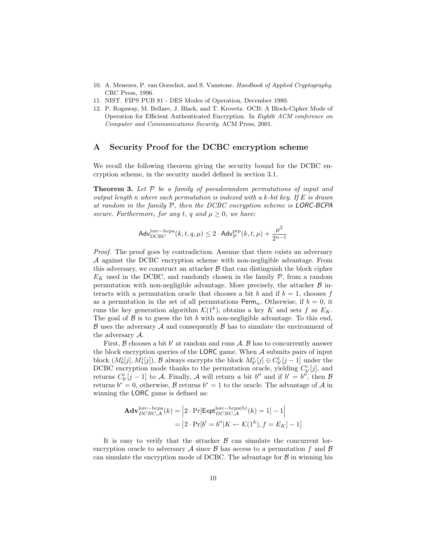- 10. A. Menezes, P. van Oorschot, and S. Vanstone. Handbook of Applied Cryptography. CRC Press, 1996.
- 11. NIST. FIPS PUB 81 DES Modes of Operation, December 1980.
- 12. P. Rogaway, M. Bellare, J. Black, and T. Krovetz. OCB: A Block-Cipher Mode of Operation for Efficient Authenticated Encryption. In Eighth ACM conference on Computer and Communications Security. ACM Press, 2001.

### A Security Proof for the DCBC encryption scheme

We recall the following theorem giving the security bound for the DCBC encryption scheme, in the security model defined in section 3.1.

**Theorem 3.** Let  $P$  be a family of pseudorandom permutations of input and output length n where each permutation is indexed with a k-bit key. If  $E$  is drawn at random in the family P, then the DCBC encryption scheme is LORC-BCPA secure. Furthermore, for any t, q and  $\mu \geq 0$ , we have:

$$
\mathsf{Adv}_{\mathrm{DCBC}}^{\mathrm{lorc}-\mathrm{bcpa}}(k,t,q,\mu) \leq 2\cdot \mathsf{Adv}_{\mathcal{P}}^{\mathrm{prp}}(k,t,\mu) + \frac{\mu^2}{2^{n-1}}
$$

Proof. The proof goes by contradiction. Assume that there exists an adversary A against the DCBC encryption scheme with non-negligible advantage. From this adversary, we construct an attacker  $\beta$  that can distinguish the block cipher  $E_K$  used in the DCBC, and randomly chosen in the family  $P$ , from a random permutation with non-negligible advantage. More precisely, the attacker  $\beta$  interacts with a permutation oracle that chooses a bit b and if  $b = 1$ , chooses f as a permutation in the set of all permutations  $\text{Perm}_n$ . Otherwise, if  $b = 0$ , it runs the key generation algorithm  $\mathcal{K}(1^k)$ , obtains a key K and sets f as  $E_K$ . The goal of  $\beta$  is to guess the bit b with non-negligible advantage. To this end,  $\beta$  uses the adversary  $\mathcal A$  and consequently  $\beta$  has to simulate the environment of the adversary A.

First,  $\beta$  chooses a bit  $b'$  at random and runs  $\mathcal{A}$ .  $\beta$  has to concurrently answer the block encryption queries of the LORC game. When  $A$  submits pairs of input block  $(M_0^i[j], M_1^i[j])$ , B always encrypts the block  $M_{b'}^i[j] \oplus C_{b'}^i[j-1]$  under the DCBC encryption mode thanks to the permutation oracle, yielding  $C_{b}^{i}[j]$ , and returns  $C_{b'}^{i}[j-1]$  to A. Finally, A will return a bit  $b''$  and if  $b' = b''$ , then  $\beta$ returns  $b^* = 0$ , otherwise, B returns  $b^* = 1$  to the oracle. The advantage of A in winning the LORC game is defined as:

$$
\mathbf{Adv}_{DCBC,A}^{\text{lorc}-\text{bcpa}}(k) = |2 \cdot \Pr[\text{Expt}_{DCBC,A}^{\text{lorc}-\text{bcpa(b)}}(k) = 1] - 1|
$$
  
=  $|2 \cdot \Pr[b' = b''|K \leftarrow \mathcal{K}(1^k), f = E_K] - 1|$ 

It is easy to verify that the attacker  $\beta$  can simulate the concurrent lorencryption oracle to adversary  $\mathcal A$  since  $\mathcal B$  has access to a permutation f and  $\mathcal B$ can simulate the encryption mode of DCBC. The advantage for  $\beta$  in winning his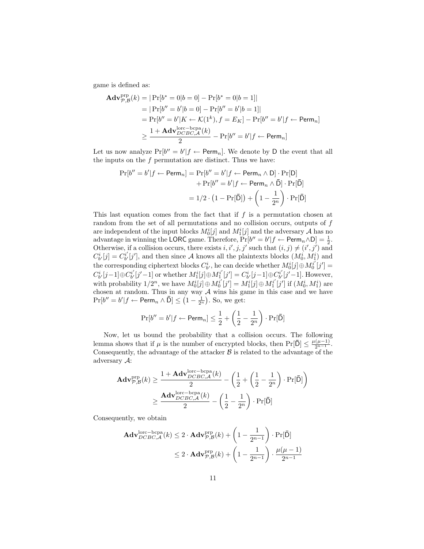game is defined as:

$$
\begin{aligned} \mathbf{Adv}_{\mathcal{P},\mathcal{B}}^{\text{prp}}(k) &= |\Pr[b^* = 0|b = 0] - \Pr[b^* = 0|b = 1]| \\ &= |\Pr[b'' = b'|b = 0] - \Pr[b'' = b'|b = 1]| \\ &= \Pr[b'' = b'|K \leftarrow \mathcal{K}(1^k), f = E_K] - \Pr[b'' = b'|f \leftarrow \text{Perm}_n] \\ &\ge \frac{1 + \mathbf{Adv}_{DCBC,\mathcal{A}}^{\text{loc} - \text{bcpa}}(k)}{2} - \Pr[b'' = b'|f \leftarrow \text{Perm}_n] \end{aligned}
$$

Let us now analyze  $Pr[b'' = b' | f \leftarrow Perm_n]$ . We denote by D the event that all the inputs on the  $f$  permutation are distinct. Thus we have:

$$
\Pr[b'' = b' | f \leftarrow \text{Perm}_n] = \Pr[b'' = b' | f \leftarrow \text{Perm}_n \land D] \cdot \Pr[D] + \Pr[b'' = b' | f \leftarrow \text{Perm}_n \land \bar{D}] \cdot \Pr[\bar{D}] = 1/2 \cdot (1 - \Pr[\bar{D}]) + \left(1 - \frac{1}{2^n}\right) \cdot \Pr[\bar{D}]
$$

This last equation comes from the fact that if  $f$  is a permutation chosen at random from the set of all permutations and no collision occurs, outputs of f are independent of the input blocks  $M_0^i[j]$  and  $M_1^i[j]$  and the adversary  ${\mathcal A}$  has no advantage in winning the LORC game. Therefore,  $Pr[b'' = b' | f \leftarrow Perm_n \wedge D] = \frac{1}{2}$ . Otherwise, if a collision occurs, there exists i, i', j, j' such that  $(i, j) \neq (i', j')$  and  $C_{b'}^{i}[j] = C_{b'}^{i'}$  $b'_{b'}[j']$ , and then since A knows all the plaintexts blocks  $(M_0^i, M_1^i)$  and the corresponding ciphertext blocks  $C_{b'}^i$ , he can decide whether  $M_0^i[j] \oplus M_0^{i'}$  $j'_{0}[j'] =$  $C_{b'}^i[j-1] \oplus C_{b'}^{i'}$  $\left[ \begin{array}{c} u' \\ b' \end{array} \right]$  or whether  $M_1^i[j] \oplus M_1^{i'}$  $\binom{i'}{1}[j'] = C_{b'}^{i}[j-1] \oplus C_{b'}^{i'}$  $b_i^{i'}[j'-1]$ . However, with probability  $1/2^n$ , we have  $M_0^i[j] \oplus M_0^{i'}$  $\begin{equation} \begin{bmatrix} \vec{i}'\ \vec{0}'\end{bmatrix} = M_1^i[\vec{j}] \oplus M_1^i{}' \end{equation}$  $\left[ \begin{smallmatrix} i' \\ 1 \end{smallmatrix} \right]$  if  $(M_0^i, M_1^i)$  are chosen at random. Thus in any way  $A$  wins his game in this case and we have  $Pr[b'' = b' | f \leftarrow Perm_n \wedge \overline{D}] \leq (1 - \frac{1}{2^n})$ . So, we get:

$$
\Pr[b'' = b' | f \leftarrow \mathsf{Perm}_n] \le \frac{1}{2} + \left(\frac{1}{2} - \frac{1}{2^n}\right) \cdot \Pr[\bar{\mathsf{D}}]
$$

Now, let us bound the probability that a collision occurs. The following lemma shows that if  $\mu$  is the number of encrypted blocks, then  $Pr[\bar{D}] \leq \frac{\mu(\mu-1)}{2^{n-1}}$ . Consequently, the advantage of the attacker  $\beta$  is related to the advantage of the adversary A:

$$
\mathbf{Adv}_{\mathcal{P},\mathcal{B}}^{\text{prp}}(k) \ge \frac{1 + \mathbf{Adv}_{DCBC,\mathcal{A}}^{\text{lorc}-\text{bcpa}}(k)}{2} - \left(\frac{1}{2} + \left(\frac{1}{2} - \frac{1}{2^n}\right) \cdot \Pr[\bar{\mathsf{D}}]\right) \ge \frac{\mathbf{Adv}_{DCBC,\mathcal{A}}^{\text{lorc}-\text{bcpa}}(k)}{2} - \left(\frac{1}{2} - \frac{1}{2^n}\right) \cdot \Pr[\bar{\mathsf{D}}]
$$

Consequently, we obtain

$$
\mathbf{Adv}_{DCBC,\mathcal{A}}^{\text{lore}-\text{bcpa}}(k) \le 2 \cdot \mathbf{Adv}_{\mathcal{P},\mathcal{B}}^{\text{prp}}(k) + \left(1 - \frac{1}{2^{n-1}}\right) \cdot \Pr[\bar{\mathsf{D}}]
$$

$$
\le 2 \cdot \mathbf{Adv}_{\mathcal{P},\mathcal{B}}^{\text{prp}}(k) + \left(1 - \frac{1}{2^{n-1}}\right) \cdot \frac{\mu(\mu - 1)}{2^{n-1}}
$$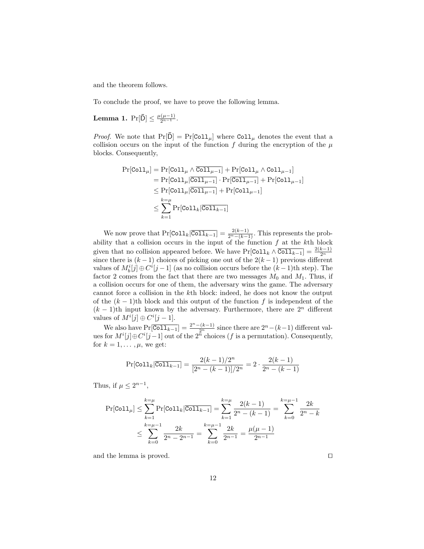and the theorem follows.

To conclude the proof, we have to prove the following lemma.

**Lemma 1.**  $Pr[\bar{D}] \leq \frac{\mu(\mu-1)}{2^{n-1}}$ .

*Proof.* We note that  $Pr[\bar{D}] = Pr[Col_1]$  where  $Col_1$  denotes the event that a collision occurs on the input of the function  $f$  during the encryption of the  $\mu$ blocks. Consequently,

$$
\Pr[\text{Col1}_{\mu}] = \Pr[\text{Col1}_{\mu} \wedge \overline{\text{Col1}_{\mu-1}}] + \Pr[\text{Col1}_{\mu} \wedge \text{Col1}_{\mu-1}]
$$
  
\n
$$
= \Pr[\text{Col1}_{\mu}|\overline{\text{Col1}_{\mu-1}}] \cdot \Pr[\overline{\text{Col1}_{\mu-1}}] + \Pr[\text{Col1}_{\mu-1}]
$$
  
\n
$$
\leq \Pr[\text{Col1}_{\mu}|\overline{\text{Col1}_{\mu-1}}] + \Pr[\text{Col1}_{\mu-1}]
$$
  
\n
$$
\leq \sum_{k=1}^{k=\mu} \Pr[\text{Col1}_{k}|\overline{\text{Col1}_{k-1}}]
$$

We now prove that  $Pr[Col1_k|\overline{Col1_{k-1}}] = \frac{2(k-1)}{2^n-(k-1)}$ . This represents the probability that a collision occurs in the input of the function  $f$  at the kth block given that no collision appeared before. We have  $Pr[Coll_k \wedge \overline{Coll_{k-1}}] = \frac{2(k-1)}{2^n}$ since there is  $(k-1)$  choices of picking one out of the  $2(k-1)$  previous different values of  $M_b^i[j] \oplus C^i[j-1]$  (as no collision occurs before the  $(k-1)$ th step). The factor 2 comes from the fact that there are two messages  $M_0$  and  $M_1$ . Thus, if a collision occurs for one of them, the adversary wins the game. The adversary cannot force a collision in the kth block: indeed, he does not know the output of the  $(k-1)$ th block and this output of the function f is independent of the  $(k-1)$ th input known by the adversary. Furthermore, there are  $2<sup>n</sup>$  different values of  $M^i[j] \oplus C^i[j-1]$ .

We also have  $Pr[\overline{\text{Col1}_{k-1}}] = \frac{2^n - (k-1)}{2^n}$  since there are  $2^n - (k-1)$  different values for  $M^i[j] \oplus C^i[j-1]$  out of the  $2^{\tilde{n}}$  choices (f is a permutation). Consequently, for  $k = 1, \ldots, \mu$ , we get:

$$
\Pr[\text{Coll}_k | \overline{\text{Coll}_{k-1}}] = \frac{2(k-1)/2^n}{[2^n - (k-1)]/2^n} = 2 \cdot \frac{2(k-1)}{2^n - (k-1)}
$$

Thus, if  $\mu \leq 2^{n-1}$ ,

$$
\Pr[\text{Coll}_{\mu}] \le \sum_{k=1}^{k=\mu} \Pr[\text{Coll}_{k}|\overline{\text{Coll}}_{k-1}] = \sum_{k=1}^{k=\mu} \frac{2(k-1)}{2^{n} - (k-1)} = \sum_{k=0}^{k=\mu-1} \frac{2k}{2^{n} - k}
$$

$$
\le \sum_{k=0}^{k=\mu-1} \frac{2k}{2^{n} - 2^{n-1}} = \sum_{k=0}^{k=\mu-1} \frac{2k}{2^{n-1}} = \frac{\mu(\mu-1)}{2^{n-1}}
$$

and the lemma is proved.  $\Box$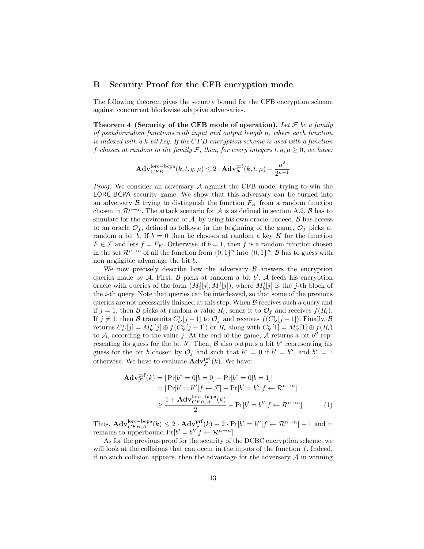### B Security Proof for the CFB encryption mode

The following theorem gives the security bound for the CFB encryption scheme against concurrent blockwise adaptive adversaries.

Theorem 4 (Security of the CFB mode of operation). Let  $\mathcal F$  be a family of pseudorandom functions with input and output length n, where each function is indexed with a k-bit key. If the  $CFB$  encryption scheme is used with a function f chosen at random in the family F, then, for every integers  $t, q, \mu \geq 0$ , we have:

$$
\mathbf{Adv}_{CFB}^{\text{lorc}-\text{bcpa}}(k, t, q, \mu) \leq 2 \cdot \mathbf{Adv}_{\mathcal{F}}^{\text{prf}}(k, t, \mu) + \frac{\mu^2}{2^{n-1}}
$$

*Proof.* We consider an adversary  $\mathcal A$  against the CFB mode, trying to win the LORC-BCPA security game. We show that this adversary can be turned into an adversary  $\beta$  trying to distinguish the function  $F_K$  from a random function chosen in  $\mathcal{R}^{n\to n}$ . The attack scenario for A is as defined in section A.2. B has to simulate for the environment of  $A$ , by using his own oracle. Indeed,  $\beta$  has access to an oracle  $\mathcal{O}_f$ , defined as follows: in the beginning of the game,  $\mathcal{O}_f$  picks at random a bit b. If  $b = 0$  then he chooses at random a key K for the function  $F \in \mathcal{F}$  and lets  $f = F_K$ . Otherwise, if  $b = 1$ , then f is a random function chosen in the set  $\mathcal{R}^{n \to n}$  of all the function from  $\{0, 1\}^n$  into  $\{0, 1\}^n$ . B has to guess with non negligible advantage the bit b.

We now precisely describe how the adversary  $\beta$  answers the encryption queries made by  $A$ . First,  $B$  picks at random a bit  $b'$ . A feeds his encryption oracle with queries of the form  $(M_0^i[j], M_1^i[j])$ , where  $M_b^i[j]$  is the j-th block of the i-th query. Note that queries can be interleaved, so that some of the previous queries are not necessarily finished at this step. When  $B$  receives such a query and if  $j = 1$ , then B picks at random a value  $R_i$ , sends it to  $\mathcal{O}_f$  and receives  $f(R_i)$ . If  $j \neq 1$ , then B transmits  $C_{b'}^i[j-1]$  to  $\mathcal{O}_f$  and receives  $f(C_{b'}^i[j-1])$ . Finally, B returns  $C_{b'}^i[j] = M_{b'}^i[j] \oplus f(\check{C}_{b'}^i[j-1])$  or  $R_i$  along with  $\check{C}_{b'}^i[1] = M_{b'}^i[1] \oplus f(R_i)$ to A, according to the value j. At the end of the game, A returns a bit  $b''$  representing its guess for the bit  $b'$ . Then,  $\beta$  also outputs a bit  $b^*$  representing his guess for the bit b chosen by  $\mathcal{O}_f$  and such that  $b^* = 0$  if  $b' = b''$ , and  $b^* = 1$ otherwise. We have to evaluate  $\mathbf{Adv}_{\mathcal{F}}^{\text{prf}}(k)$ . We have:

$$
\mathbf{Adv}_{\mathcal{F}}^{\text{prf}}(k) = |\Pr[b^* = 0|b = 0] - \Pr[b^* = 0|b = 1]|
$$
  
\n
$$
= |\Pr[b' = b''|f \leftarrow \mathcal{F}] - \Pr[b' = b''|f \leftarrow \mathcal{R}^{n \to n}]|
$$
  
\n
$$
\geq \frac{1 + \mathbf{Adv}_{CFB,A}^{\text{loc}-\text{bcpa}}(k)}{2} - \Pr[b' = b''|f \leftarrow \mathcal{R}^{n \to n}]
$$
 (1)

Thus,  $\mathbf{Adv}_{CFB,A}^{\text{lorc}-\text{bcpa}}(k) \leq 2 \cdot \mathbf{Adv}_{\mathcal{F}}^{\text{prf}}(k) + 2 \cdot \Pr[b' = b'' | f \leftarrow \mathcal{R}^{n \to n}] - 1$  and it remains to upperbound  $Pr[b' = b'']f \leftarrow \mathcal{R}^{n \to n}$ .

As for the previous proof for the security of the DCBC encryption scheme, we will look at the collisions that can occur in the inputs of the function  $f$ . Indeed, if no such collision appears, then the advantage for the adversary  $A$  in winning